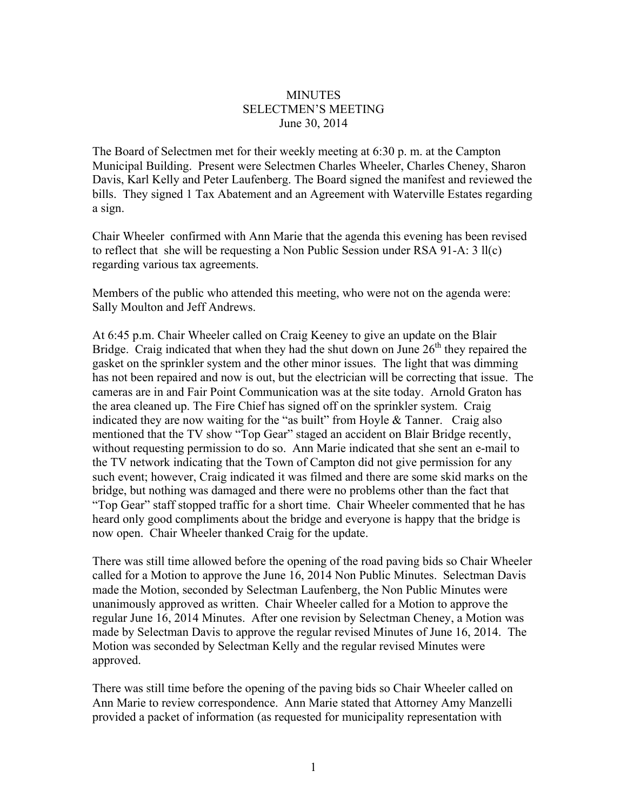## **MINUTES** SELECTMEN'S MEETING June 30, 2014

The Board of Selectmen met for their weekly meeting at 6:30 p. m. at the Campton Municipal Building. Present were Selectmen Charles Wheeler, Charles Cheney, Sharon Davis, Karl Kelly and Peter Laufenberg. The Board signed the manifest and reviewed the bills. They signed 1 Tax Abatement and an Agreement with Waterville Estates regarding a sign.

Chair Wheeler confirmed with Ann Marie that the agenda this evening has been revised to reflect that she will be requesting a Non Public Session under RSA 91-A: 3 ll(c) regarding various tax agreements.

Members of the public who attended this meeting, who were not on the agenda were: Sally Moulton and Jeff Andrews.

At 6:45 p.m. Chair Wheeler called on Craig Keeney to give an update on the Blair Bridge. Craig indicated that when they had the shut down on June  $26<sup>th</sup>$  they repaired the gasket on the sprinkler system and the other minor issues. The light that was dimming has not been repaired and now is out, but the electrician will be correcting that issue. The cameras are in and Fair Point Communication was at the site today. Arnold Graton has the area cleaned up. The Fire Chief has signed off on the sprinkler system. Craig indicated they are now waiting for the "as built" from Hoyle & Tanner. Craig also mentioned that the TV show "Top Gear" staged an accident on Blair Bridge recently, without requesting permission to do so. Ann Marie indicated that she sent an e-mail to the TV network indicating that the Town of Campton did not give permission for any such event; however, Craig indicated it was filmed and there are some skid marks on the bridge, but nothing was damaged and there were no problems other than the fact that "Top Gear" staff stopped traffic for a short time. Chair Wheeler commented that he has heard only good compliments about the bridge and everyone is happy that the bridge is now open. Chair Wheeler thanked Craig for the update.

There was still time allowed before the opening of the road paving bids so Chair Wheeler called for a Motion to approve the June 16, 2014 Non Public Minutes. Selectman Davis made the Motion, seconded by Selectman Laufenberg, the Non Public Minutes were unanimously approved as written. Chair Wheeler called for a Motion to approve the regular June 16, 2014 Minutes. After one revision by Selectman Cheney, a Motion was made by Selectman Davis to approve the regular revised Minutes of June 16, 2014. The Motion was seconded by Selectman Kelly and the regular revised Minutes were approved.

There was still time before the opening of the paving bids so Chair Wheeler called on Ann Marie to review correspondence. Ann Marie stated that Attorney Amy Manzelli provided a packet of information (as requested for municipality representation with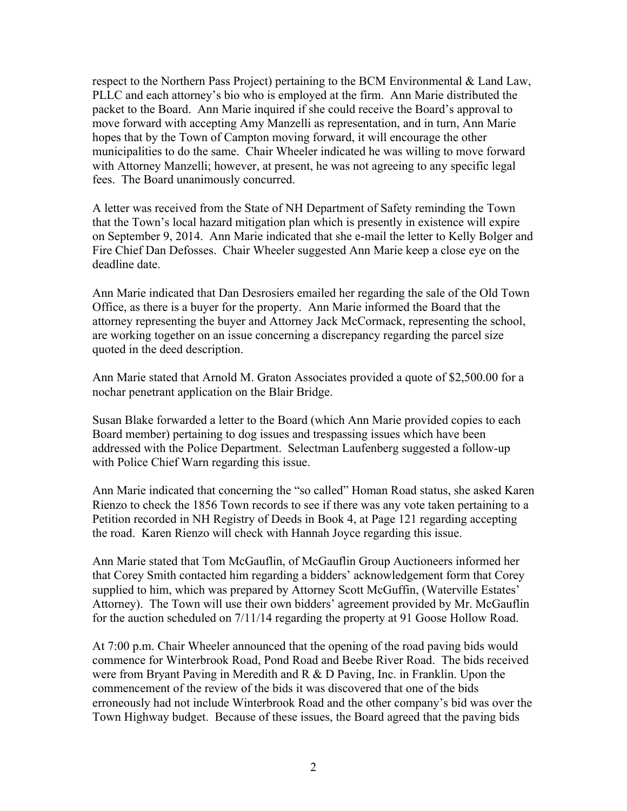respect to the Northern Pass Project) pertaining to the BCM Environmental & Land Law, PLLC and each attorney's bio who is employed at the firm. Ann Marie distributed the packet to the Board. Ann Marie inquired if she could receive the Board's approval to move forward with accepting Amy Manzelli as representation, and in turn, Ann Marie hopes that by the Town of Campton moving forward, it will encourage the other municipalities to do the same. Chair Wheeler indicated he was willing to move forward with Attorney Manzelli; however, at present, he was not agreeing to any specific legal fees. The Board unanimously concurred.

A letter was received from the State of NH Department of Safety reminding the Town that the Town's local hazard mitigation plan which is presently in existence will expire on September 9, 2014. Ann Marie indicated that she e-mail the letter to Kelly Bolger and Fire Chief Dan Defosses. Chair Wheeler suggested Ann Marie keep a close eye on the deadline date.

Ann Marie indicated that Dan Desrosiers emailed her regarding the sale of the Old Town Office, as there is a buyer for the property. Ann Marie informed the Board that the attorney representing the buyer and Attorney Jack McCormack, representing the school, are working together on an issue concerning a discrepancy regarding the parcel size quoted in the deed description.

Ann Marie stated that Arnold M. Graton Associates provided a quote of \$2,500.00 for a nochar penetrant application on the Blair Bridge.

Susan Blake forwarded a letter to the Board (which Ann Marie provided copies to each Board member) pertaining to dog issues and trespassing issues which have been addressed with the Police Department. Selectman Laufenberg suggested a follow-up with Police Chief Warn regarding this issue.

Ann Marie indicated that concerning the "so called" Homan Road status, she asked Karen Rienzo to check the 1856 Town records to see if there was any vote taken pertaining to a Petition recorded in NH Registry of Deeds in Book 4, at Page 121 regarding accepting the road. Karen Rienzo will check with Hannah Joyce regarding this issue.

Ann Marie stated that Tom McGauflin, of McGauflin Group Auctioneers informed her that Corey Smith contacted him regarding a bidders' acknowledgement form that Corey supplied to him, which was prepared by Attorney Scott McGuffin, (Waterville Estates' Attorney). The Town will use their own bidders' agreement provided by Mr. McGauflin for the auction scheduled on 7/11/14 regarding the property at 91 Goose Hollow Road.

At 7:00 p.m. Chair Wheeler announced that the opening of the road paving bids would commence for Winterbrook Road, Pond Road and Beebe River Road. The bids received were from Bryant Paving in Meredith and R & D Paving, Inc. in Franklin. Upon the commencement of the review of the bids it was discovered that one of the bids erroneously had not include Winterbrook Road and the other company's bid was over the Town Highway budget. Because of these issues, the Board agreed that the paving bids